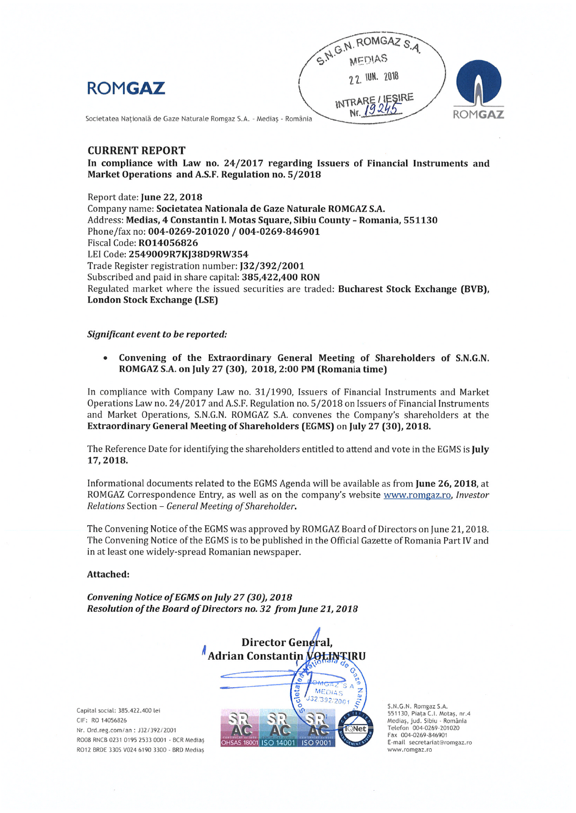



Societatea Națională de Gaze Naturale Romgaz S.A. - Mediaș - România

# **CURRENT REPORT**

In compliance with Law no. 24/2017 regarding Issuers of Financial Instruments and Market Operations and A.S.F. Regulation no. 5/2018

Report date: June 22, 2018 Company name: Societatea Nationala de Gaze Naturale ROMGAZ S.A. Address: Medias, 4 Constantin I. Motas Square, Sibiu County - Romania, 551130 Phone/fax no: 004-0269-201020 / 004-0269-846901 Fiscal Code: R014056826 LEI Code: 2549009R7KJ38D9RW354 Trade Register registration number: [32/392/2001 Subscribed and paid in share capital: 385,422,400 RON Regulated market where the issued securities are traded: Bucharest Stock Exchange (BVB), **London Stock Exchange (LSE)** 

## Significant event to be reported:

 $\bullet$ Convening of the Extraordinary General Meeting of Shareholders of S.N.G.N. ROMGAZ S.A. on July 27 (30), 2018, 2:00 PM (Romania time)

In compliance with Company Law no. 31/1990, Issuers of Financial Instruments and Market Operations Law no. 24/2017 and A.S.F. Regulation no. 5/2018 on Issuers of Financial Instruments and Market Operations, S.N.G.N. ROMGAZ S.A. convenes the Company's shareholders at the Extraordinary General Meeting of Shareholders (EGMS) on July 27 (30), 2018.

The Reference Date for identifying the shareholders entitled to attend and vote in the EGMS is July 17.2018.

Informational documents related to the EGMS Agenda will be available as from June 26, 2018, at ROMGAZ Correspondence Entry, as well as on the company's website www.romgaz.ro, Investor Relations Section - General Meeting of Shareholder.

The Convening Notice of the EGMS was approved by ROMGAZ Board of Directors on June 21, 2018. The Convening Notice of the EGMS is to be published in the Official Gazette of Romania Part IV and in at least one widely-spread Romanian newspaper.

## Attached:

Convening Notice of EGMS on July 27 (30), 2018 Resolution of the Board of Directors no. 32 from June 21, 2018



Capital social: 385.422.400 lei CIF: RO 14056826 Nr. Ord.reg.com/an: J32/392/2001 RO08 RNCB 0231 0195 2533 0001 - BCR Medias RO12 BRDE 330S V024 6190 3300 - BRD Medias

S.N.G.N. Romgaz S.A.<br>551130, Piața C.I. Motaș, nr.4<br>Mediaș, jud. Sibiu - România Telefon 004-0269-201020<br>Fax 004-0269-846901 E-mail secretariat@romgaz.ro www.romgaz.ro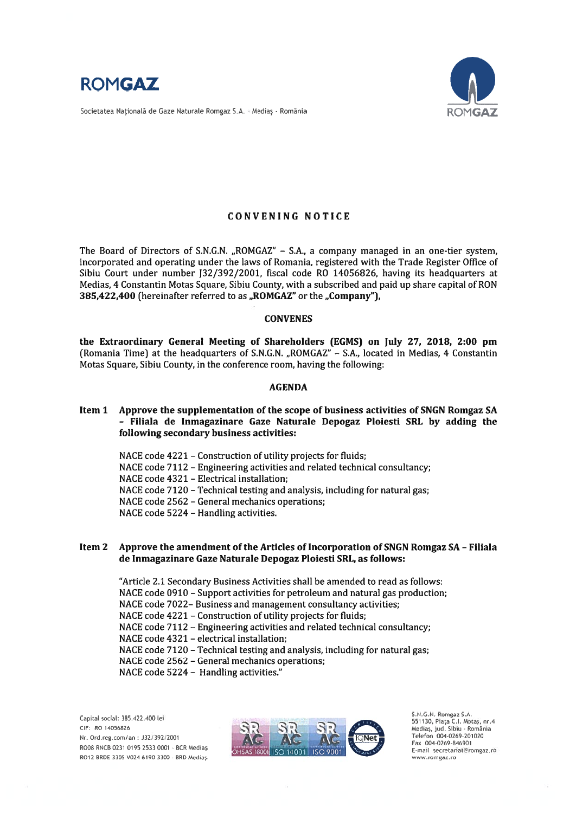

Societatea Națională de Gaze Naturale Romgaz S.A. - Mediaș - România



# CONVENING NOTICE

The Board of Directors of S.N.G.N. "ROMGAZ" - S.A., a company managed in an one-tier system, incorporated and operating under the laws of Romania, registered with the Trade Register Office of Sibiu Court under number 132/392/2001, fiscal code RO 14056826, having its headquarters at Medias, 4 Constantin Motas Square, Sibiu County, with a subscribed and paid up share capital of RON 385,422,400 (hereinafter referred to as "ROMGAZ" or the "Company").

## CONVENES

the Extraordinary General Meeting of Shareholders (EGMS) on July 27, 2018, 2:00 pm (Romania Time) at the headquarters of S.N.G.N. "ROMGAZ" - S.A., located in Medias, 4 Constantin Motas Square, Sibiu County, in the conference room, having the following:

## AGENDA

- Item 1 Approve the supplementation of the scope of business activities of SNGN Romgaz SA - Filiala de Inmagazinare Gaze Naturale Depogaz Ploiesti SRL by adding the following secondary business activities:
	- NACE code 4221 Construction of utility projects for fluids; NACE code 7112 - Engineering activities and related technical consultancy; NACE code 4321 - Electrical installation; NACE code 7120 - Technical testing and analysis, including for natural gas; NACE code 2562 - General mechanics operations; NACE code  $5224$  – Handling activities.

# Item 2 Approve the amendment of the Articles of Incorporation of SNGN Romgaz SA -Filiala de Inmagazinare Gaze Naturale Depogaz Ploiesti SRL, as follows:

"Article 2.1 Secondary Business Activities shall be amended to read as follows: NACE code 0910 - Support activities for petroleum and natural gas production; NACE code 7022— Business and managemen<sup>t</sup> consultancy activities; NACE code 4221 - Construction of utility projects for fluids; NACE code 7112 - Engineering activities and related technical consultancy; NACE code 4321 - electrical installation; NACE code 7120 - Technical testing and analysis, including for natural gas; NACE code 2562 - General mechanics operations; NACE code 5224 - Handling activities."

Nr. Ord.reg.com/an: J32/392/2001 RO08 RNCB 0231 0195 2533 0001 - BCR Medias



Medias, jud. Sibiu - România<br>Telefon 004-0269-201020 Fax 004-0269-846901 E-mail secretariat@romgaz.ro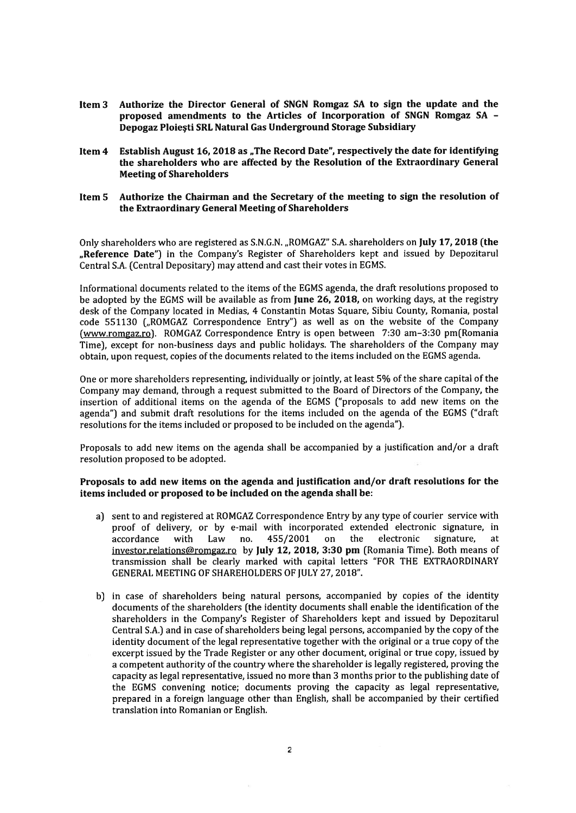- Item 3 Authorize the Director General of SNGN Romgaz SA to sign the update and the proposed amendments to the Articles of Incorporation of SNGN Romgaz SA - Depogaz Ploiesti SRL Natural Gas Underground Storage Subsidiary
- Item 4 Establish August 16, 2018 as "The Record Date", respectively the date for identifying the shareholders who are affected by the Resolution of the Extraordinary General **Meeting of Shareholders**

## Item 5 Authorize the Chairman and the Secretary of the meeting to sign the resolution of the Extraordinary General Meeting of Shareholders

Only shareholders who are registered as S.N.G.N. "ROMGAZ" S.A. shareholders on July 17, 2018 (the "Reference Date") in the Company's Register of Shareholders kept and issued by Depozitarul Central S.A. (Central Depositary) may attend and cast their votes in EGMS.

Informational documents related to the items of the EGMS agenda, the draft resolutions proposed to be adopted by the EGMS will be available as from June 26, 2018, on working days, at the registry desk of the Company Iocated in Medias, <sup>4</sup> Constantin Motas Square, Sibiu County, Romania, postal code 551130 ("ROMGAZ Correspondence Entry") as well as on the website of the Company (www.romgaz.ro). ROMGAZ Correspondence Entry is open between 7:30 am—3:30 pm(Romania Time), excep<sup>t</sup> for non-business days and public holidays. The shareholders of the Company may obtain, upon request, copies ofthe documents related to the items included on the EGMS agenda.

One or more shareholders representing, individually or jointly, at least 5% of the share capital of the Company may demand, through <sup>a</sup> reques<sup>t</sup> submitted to the Board of Directors of the Company, the insertion of additionai items on the agenda of the EGMS ("proposals to add new items on the agenda") and submit draft resolutions for the items included on the agenda of the EGMS ("draft resolutions for the items included or proposed to be included on the agenda").

Proposals to add new items on the agenda shall be accompanied by <sup>a</sup> justification and/or <sup>a</sup> draft resolution proposed to be adopted.

# Proposals to add new items on the agenda and justification and/or draft resolutions for the items included or proposed to be included on the agenda shall be:

- a) sent to and registered at ROMGAZ Correspondence Entry by any type of courier service with proof of delivery, or by e-mail with incorporated extended electronic signature, in accordance with Law no. 455/2001 on the electronic signature, at investor.relations@romgaz.ro by JuIy 12, 2018, 3:30 pm (Romania Time). Both means of transmission shall be clearly marked with capital letters "FOR THE EXTRAORDINARY GENERAL MEETING OF SHAREHOLDERS OF JULY 27, 2018".
- b) in case of shareholders being natural persons, accompanied by copies of the identity documents of the shareholders (the identity documents shall enable the identification of the shareholders in the Company's Register of Shareholders kept and issued by Depozitarul Central S.A.) and in case of shareholders being legal persons, accompanied by the copy of the identity document of the legal representative together with the original or <sup>a</sup> true copy of the excerpt issued by the Trade Register or any other document, original or true copy, issued by <sup>a</sup> competent authority of the country where the shareholder is legally registered, proving the capacity as legal representative, issued no more than 3 months prior to the publishing date of the EGMS convening notice; documents proving the capacity as legal representative, prepared in <sup>a</sup> foreign language other than English, shall be accompanied by their certified translation into Romanian or English.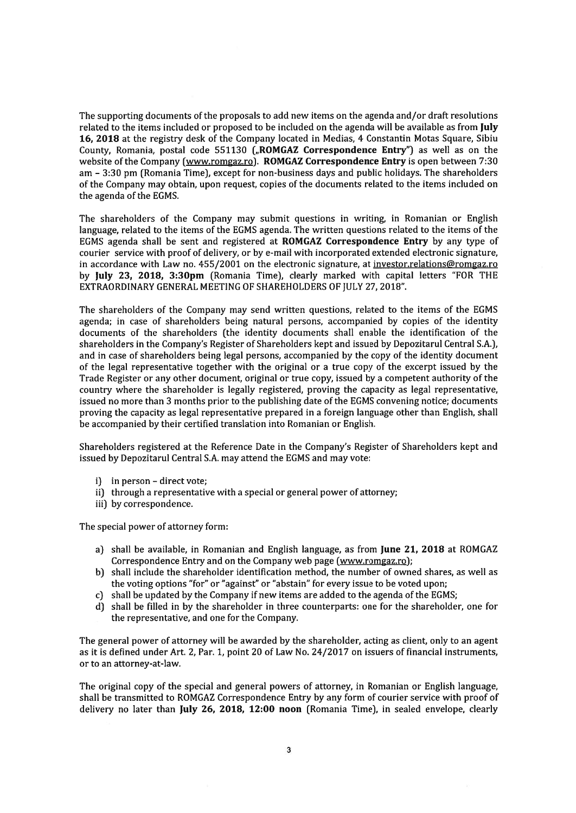The supporting documents of the proposals to add new items on the agenda and/or draft resolutions related to the items included or proposed to be included on the agenda will be available as from July 16, 2018 at the registry desk of the Company located in Medias, 4 Constantin Motas Square, Sibiu County, Romania, postal code 551130 ("ROMGAZ Correspondence Entry") as well as on the website of the Company (www.romgaz.ro). ROMGAZ Correspondence Entry is open between 7:30 am - 3:30 pm (Romania Time), except for non-business days and public holidays. The shareholders of the Company may obtain, upon request, copies of the documents related to the items included on the agenda of the EGMS.

The shareholders of the Company may submit questions in writing, in Romanian or English language, related to the items of the EGMS agenda. The written questions related to the items of the EGMS agenda shall be sent and registered at ROMGAZ Correspondence Entry by any type of courier service with proof of delivery, or by e-mail with incorporated extended electronic signature, in accordance with Law no. 455/2001 on the electronic signature, at investor.relations@romgaz.ro by July 23, 2018, 3:3Opm (Romania Time), clearly marked with capital Ietters "FOR THE EXTRAORDINARY GENERAL MEETING OF SHAREHOLDERS OF JULY 27, 2018".

The shareholders of the Company may send written questions, related to the items of the EGMS agenda; in case of shareholders being natural persons, accompanied by copies of the identity documents of the shareholders (the identity documents shall enable the identification of the shareholders in the Company's Register of Shareholders kept and issued by Depozitarul Central S.A.), and in case of shareholders being legal persons, accompanied by the copy of the identity document of the legal representative together with the original or <sup>a</sup> true copy of the excerp<sup>t</sup> issued by the Trade Register or any other document, original or true copy, issued by <sup>a</sup> competent authority of the country where the shareholder is legally registered, proving the capacity as legal representative, issued no more than 3 months prior to the publishing date ofthe EGMS convening notice; documents proving the capacity as legal representative prepared in <sup>a</sup> foreign language other than English, shall be accompanied by their certified translation into Romanian or English.

Shareholders registered at the Reference Date in the Company's Register of Shareholders kept and issued by Depozitarul Central S.A. may attend the EGMS and may vote:

- i) in person direct vote;
- ii) through a representative with a special or general power of attorney;
- iii) by correspondence.

The special power of attorney form:

- a) shall be available, in Romanian and English language, as from June 21, 2018 at ROMGAZ Correspondence Entry and on the Company web page (www.romgaz.ro);
- b) shall include the shareholder identification method, the number of owned shares, as well as the voting options "for" or "against" or "abstain" for every issue to be voted upon;
- c) shall be updated by the Company if new items are added to the agenda of the EGMS;
- d) shall be filled in by the shareholder in three counterparts: one for the shareholder, one for the representative, and one for the Company.

The general power of attorney will be awarded by the shareholder, acting as client, only to an agen<sup>t</sup> as it is defined under Art. 2, Par. 1, point 20 of Law No. 24/2017 on issuers of financial instruments, or to an attorney-at-law.

The original copy of the special and general powers of attorney, in Romanian or English language, shall be transmitted to ROMGAZ Correspondence Entry by any form of courier service with proof of delivery no later than July 26, 2018, 12:00 noon (Romania Time), in sealed envelope, clearly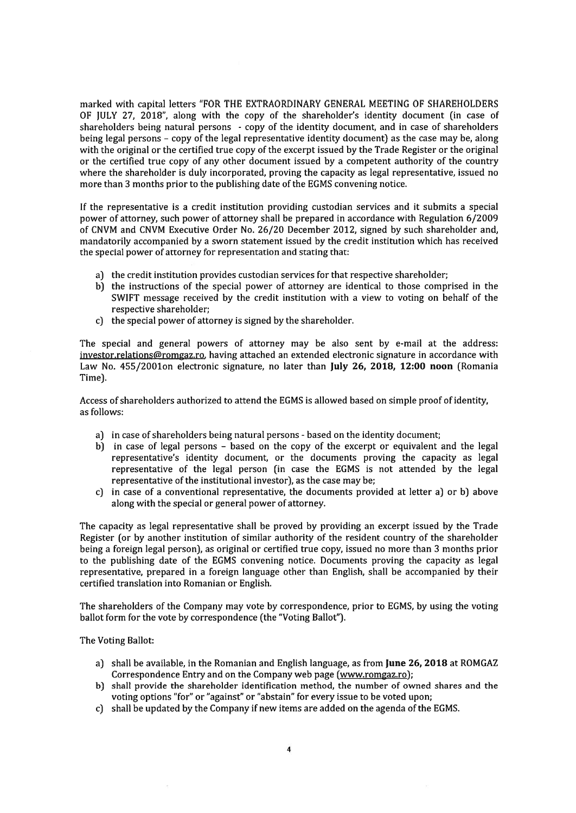marked with capital Ietters "FOR THE EXTRAORDINARY GENERAL MEETING OF SHAREHOLDERS OF JULY 27, 2018", along with the copy of the shareholder's identity document (in case of shareholders being natural persons - copy of the identity document, and in case of shareholders being legal persons - copy of the legal representative identity document) as the case may be, along with the original or the certified true copy of the excerp<sup>t</sup> issued by the Trade Register or the original or the certified true copy of any other document issued by <sup>a</sup> competent authority of the country where the shareholder is duly incorporated, proving the capacity as legal representative, issued no more than 3 months prior to the publishing date of the EGMS convening notice.

If the representative is <sup>a</sup> credit institution providing custodian services and it submits <sup>a</sup> special power of attorney, such power of attorney shall be prepared in accordance with Regulation 6/2009 of CNVM and CNVM Executive Order No. 26/20 December 2012, signed by such shareholder and, mandatorily accompanied by <sup>a</sup> sworn statement issued by the credit institution which has received the special power of attorney for representation and stating that:

- a) the credit institution provides custodian services for that respective shareholder;
- b) the instructions of the special power of attorney are identical to those comprised in the SWIFT message received by the credit institution with <sup>a</sup> view to voting on behalf of the respective shareholder;
- c) the special power of attorney is signed by the shareholder.

The special and general powers of attorney may be also sent by e-mail at the address: investor.relations@romgaz.ro, having attached an extended electronic signature in accordance with Law No. 455/2001on electronic signature, no later than July 26, 2018, 12:00 noon (Romania Time).

Access of shareholders authorized to attend the EGMS is allowed based on simple proof of identity, as follows:

- a) in case of shareholders being natural persons based on the identity document;
- b) in case of legal persons  $-$  based on the copy of the excerpt or equivalent and the legal representative's identity document, or the documents proving the capacity as Iegal representative of the legal person (in case the EGMS is not attended by the Iegal representative of the institutional investor), as the case may be;
- c) in case of <sup>a</sup> conventional representative, the documents provided at letter a) or b) above along with the special or general power of attorney.

The capacity as legal representative shall be proved by providing an excerp<sup>t</sup> issued by the Trade Register (or by another institution of similar authority of the resident country of the shareholder being <sup>a</sup> foreign Iegal person), as original or certified true copy, issued no more than 3 months prior to the publishing date of the EGMS convening notice. Documents proving the capacity as legal representative, prepared in <sup>a</sup> foreign language other than English, shall be accompanied by their certified translation into Romanian or English.

The shareholders of the Company may vote by correspondence, prior to EGMS, by using the voting ballot form for the vote by correspondence (the "Voting Ballot").

The Voting Ballot:

- a) shall be available, in the Romanian and English language, as from June 26, 2018 at ROMGAZ Correspondence Entry and on the Company web page (www.romgaz.ro);
- b) shall provide the shareholder identification method, the number of owned shares and the voting options "for" or "against" or "abstain" for every issue to be voted upon;
- c) shall be updated by the Company if new items are added on the agenda of the EGMS.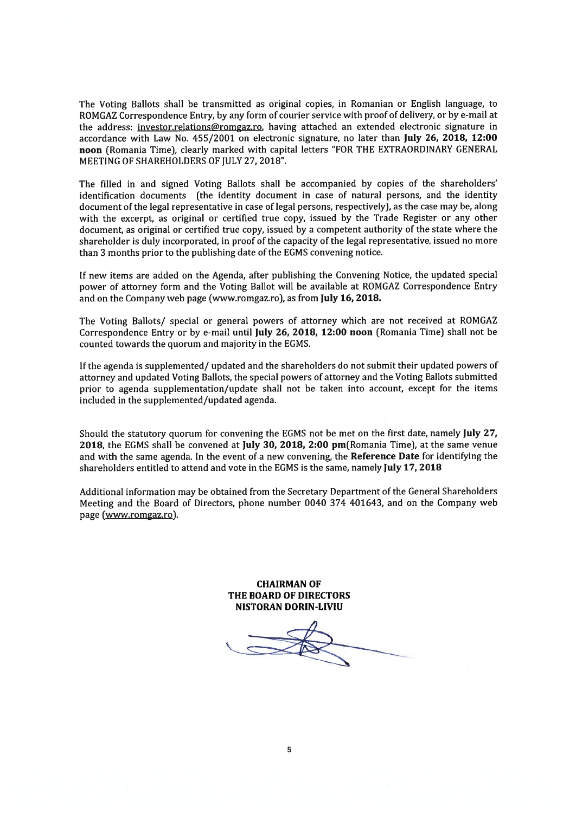The Voting Ballots shall be transmitted as original copies, in Romanian or English language, to ROMGAZ Correspondence Entry, by any form of courier service with proof of delivery, or by e-mail at the address: investor.relations@romgaz.ro, having attached an extended electronic signature in accordance with Law No. 455/2001 on electronic signature, no Iater than July 26, 2018, 12:00 noon [Romania Time), clearly marked with capital letters 'FOR THE EXTRAORDINARY GENERAL MEETING OF SHAREHOLDERS OF JULY 27, 2018".

The filled in and signed Voting Bailots shall be accompanied by copies of the shareholders' identification documents (the identity document in case of natural persons, and the identity document of the legal representative in case of legal persons, respectively), as the case may be, along with the excerpt, as original or certified true copy, issued by the Trade Register or any other document, as original or certified true copy, issued by <sup>a</sup> competent authority of the state where the shareholder is duly incorporated, in proof of the capacity of the legal representative, issued no more than 3 months prior to the publishing date of the EGMS convening notice.

If new items are added on the Agenda, after publishing the Convening Notice, the updated special power of attorney form and the Voting BalIot wiII be available at ROMGAZ Correspondence Entry and on the Company web page (www.romgaz.ro), as from JuIy 16, 2018.

The Voting Ballots/ special or general powers of attorney which are not received at ROMGAZ Correspondence Entry or by e-mail until July 26, 2018, 12:00 noon (Romania Time) shall not be counted towards the quorum and majority in the EGMS.

Ifthe agenda is supplemented/ updated and the shareholders do not submittheir updated powers of attorney and updated Voting Ballots, the special powers of attorney and the Voting Ballots submitted prior to agenda supplementation/update shall not be taken into account, excep<sup>t</sup> for the items included in the supplemented/updated agenda.

Should the statutory quorum for convening the EGMS not be met on the first date, namely July 27, 2018, the EGMS shall be convened at JuIy 30, 2018, 2:00 pm(Romania Time), at the same venue and with the same agenda. ln the event of <sup>a</sup> new convening, the Reference Date for identifying the shareholders entitled to attend and vote in the EGMS is the same, namely July 17, 2018

Additional information may be obtained from the Secretary Department of the General Shareholders Meeting and the Board of Directors, <sup>p</sup>hone number 0040 374 401643, and on the Company web page (www.romgaz.ro).

> CHAIRMAN OF THE BOARD OF DIRECTORS NISTORAN DORIN-LIVIU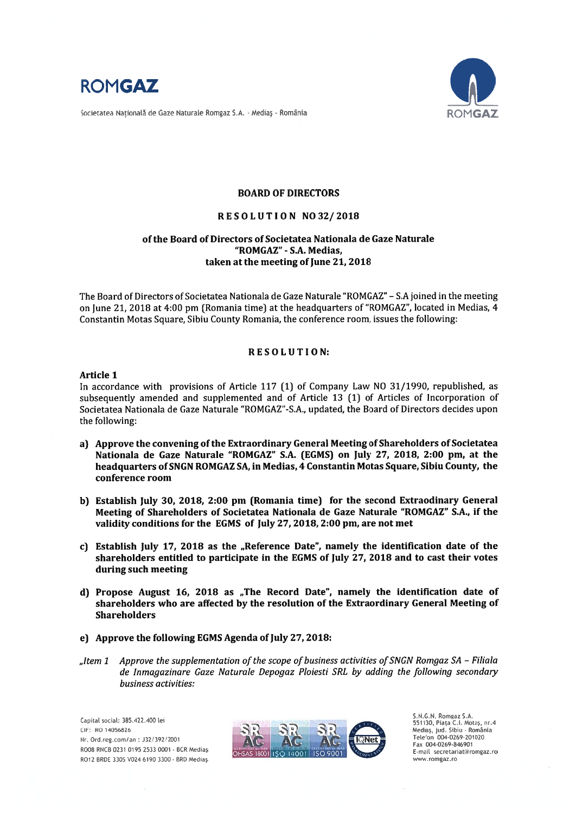

Societatea Natională de Gaze Naturale Romgaz S.A. - Mediaș - România



# BOARD OF DIRECTORS

## RESOLUTION N032/2018

# of the Board of Directors of Societatea Nationala de Gaze Naturale "ROMGAZ" - S.A. Medias. taken at the meeting of June 21, 2018

The Board of Directors of Societatea Nationala de Gaze Naturale "ROMGAZ" - S.A joined in the meeting on June 21, 2018 at 4:00 pm (Romania time) at the headquarters of "ROMGAZ", located in Medias, 4 Constantin Motas Square, Sibiu County Romania, the conference room, issues the following:

## R E S O L U T I O N:

## Article 1

In accordance with provisions of Article 117 (1) of Company Law NO 31/1990, republished, as subsequently amended and supplemented and of Article 13 (1) of Articles of Incorporation of Societatea Nationala de Gaze Naturale "ROMGAZ"-S.A., updated, the Board of Directors decides upon the following:

- a) Approve the convening of the Extraordinary General Meeting of Shareholders of Societatea Nationala de Gaze Naturale "ROMGAZ" S.A. (EGMS) on JuIy 27, 2018, 2:00 pm, at the headquarters ofSNGN ROMGAZ SA, in Medias, 4 Constantin Motas Square, Sibiu County, the conference room
- b) Establish July 30, 2018, 2:00 pm (Romania time) for the second Extraodinary General Meeting of Shareholders of Societatea Nationala de Gaze Naturale "ROMGAZ" S.A., if the validity conditions for the EGMS of July 27, 2018, 2:00 pm, are not met
- c) Establish July 17, 2018 as the "Reference Date", namely the identification date of the shareholders entitled to participate in the EGMS of July 27, 2018 and to cast their votes during such meeting
- d) Propose August 16, 2018 as "The Record Date", namely the identification date of shareholders who are affected by the resolution of the Extraordinary General Meeting of Shareholders
- e) Approve the following EGMS Agenda of July 27, 2018:
- "Item 1 Approve the supplementation of the scope of business activities of SNGN Romgaz  $SA$  Filiala de lnmagazinare Gaze Naturale Depogaz Ploiesti SRL by adding the following secondary business activities:



551130, Piata C.I. Motaș, nr.4